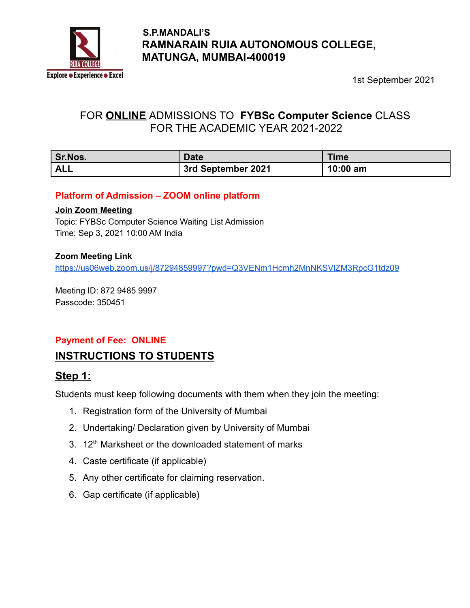

### **S.P.MANDALI'S RAMNARAIN RUIA AUTONOMOUS COLLEGE, MATUNGA, MUMBAI-400019**

1st September 2021

# FOR **ONLINE** ADMISSIONS TO **FYBSc Computer Science** CLASS FOR THE ACADEMIC YEAR 2021-2022

| <b>Sr.Nos.</b> | <b>Date</b>        | <b>Time</b> |
|----------------|--------------------|-------------|
| ALL            | 3rd September 2021 | $10:00$ am  |

#### **Platform of Admission – ZOOM online platform**

#### **Join Zoom Meeting**

Topic: FYBSc Computer Science Waiting List Admission Time: Sep 3, 2021 10:00 AM India

#### **Zoom Meeting Link**

<https://us06web.zoom.us/j/87294859997?pwd=Q3VENm1Hcmh2MnNKSVlZM3RpcG1tdz09>

Meeting ID: 872 9485 9997 Passcode: 350451

#### **Payment of Fee: ONLINE**

### **INSTRUCTIONS TO STUDENTS**

#### **Step 1:**

Students must keep following documents with them when they join the meeting:

- 1. Registration form of the University of Mumbai
- 2. Undertaking/ Declaration given by University of Mumbai
- 3. 12<sup>th</sup> Marksheet or the downloaded statement of marks
- 4. Caste certificate (if applicable)
- 5. Any other certificate for claiming reservation.
- 6. Gap certificate (if applicable)